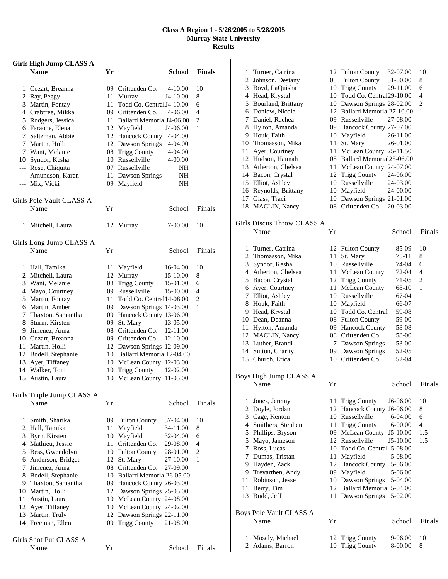## **Class A Region 1 - 5/26/2005 to 5/28/2005 Murray State University Results**

|              | <b>Girls High Jump CLASS A</b>        |      |                                                             |                    |               |
|--------------|---------------------------------------|------|-------------------------------------------------------------|--------------------|---------------|
|              | <b>Name</b>                           | Yr   |                                                             | School             | <b>Finals</b> |
|              | 1 Cozart, Breanna                     |      | 09 Crittenden Co.                                           | 4-10.00            | 10            |
|              | 2 Ray, Peggy                          |      | 11 Murray<br>J4-10.00                                       |                    | 8             |
|              | 3 Martin, Fontay                      | 11 - | Todd Co. Central J4-10.00                                   |                    | 6             |
|              | 4 Crabtree, Mikka                     |      | 09 Crittenden Co.                                           | 4-06.00            | 4             |
|              | 5 Rodgers, Jessica                    |      | 11 Ballard Memorial J4-06.00                                |                    | 2             |
|              | 6 Faraone, Elena                      |      | 12 Mayfield<br>J4-06.00                                     |                    | 1             |
|              | 7 Saltzman, Abbie                     |      | 12 Hancock County<br>12 Dawson Springs                      | 4-04.00            |               |
|              | 7 Martin, Holli<br>7 Want, Melanie    |      | 08 Trigg County                                             | 4-04.00<br>4-04.00 |               |
|              | 10 Syndor, Kesha                      |      | 10 Russellville                                             | 4-00.00            |               |
|              | --- Rose, Chiquita                    |      | 07 Russellville                                             | NH                 |               |
|              | --- Amundson, Karen                   |      | 11 Dawson Springs                                           | NH                 |               |
|              | --- Mix, Vicki                        |      | 09 Mayfield                                                 | NH                 |               |
|              | Girls Pole Vault CLASS A              |      |                                                             |                    |               |
|              | Name                                  | Υr   |                                                             | School             | Finals        |
| 1            | Mitchell, Laura                       |      | 12 Murray                                                   | 7-00.00            | 10            |
|              |                                       |      |                                                             |                    |               |
|              | Girls Long Jump CLASS A<br>Name       | Υr   |                                                             | School             | Finals        |
|              |                                       |      |                                                             |                    |               |
|              | 1 Hall, Tamika                        |      | 11 Mayfield<br>16-04.00                                     |                    | 10            |
|              | 2 Mitchell, Laura                     |      | 12 Murray<br>15-10.00                                       |                    | 8             |
|              | 3 Want, Melanie                       |      | 08 Trigg County<br>15-01.00                                 |                    | 6             |
|              | 4 Mayo, Courtney                      |      | 09 Russellville<br>15-00.00                                 |                    | 4             |
|              | 5 Martin, Fontay                      |      | 11 Todd Co. Central 14-08.00                                |                    | 2             |
|              | 6 Martin, Amber                       |      | 09 Dawson Springs 14-03.00                                  |                    | 1             |
|              | 7 Thaxton, Samantha                   |      | 09 Hancock County 13-06.00                                  |                    |               |
|              | 8 Sturm, Kirsten                      |      | 09 St. Mary<br>13-05.00                                     |                    |               |
|              | 9 Jimenez, Anna<br>10 Cozart, Breanna |      | 08 Crittenden Co. 12-11.00<br>09 Crittenden Co.<br>12-10.00 |                    |               |
|              | 11 Martin, Holli                      |      | 12 Dawson Springs 12-09.00                                  |                    |               |
|              | 12 Bodell, Stephanie                  |      | 10 Ballard Memorial12-04.00                                 |                    |               |
|              | 13 Ayer, Tiffaney                     |      | 10 McLean County 12-03.00                                   |                    |               |
|              | 14 Walker, Toni                       |      | 10 Trigg County<br>12-02.00                                 |                    |               |
| 15           | Austin, Laura                         |      | 10 McLean County 11-05.00                                   |                    |               |
|              | Girls Triple Jump CLASS A             |      |                                                             |                    |               |
|              | Name                                  | Υr   |                                                             | School             | Finals        |
| $\mathbf{1}$ | Smith, Sharika                        |      | 09 Fulton County<br>37-04.00                                |                    | 10            |
|              | 2 Hall, Tamika                        |      | 11 Mayfield<br>34-11.00                                     |                    | 8             |
|              | 3 Byrn, Kirsten                       |      | 10 Mayfield<br>32-04.00                                     |                    | 6             |
|              | 4 Mathieu, Jessie                     |      | 11 Crittenden Co.<br>29-08.00                               |                    | 4             |
|              | 5 Bess, Gwendolyn                     |      | 10 Fulton County<br>28-01.00                                |                    | 2             |
|              | 6 Anderson, Bridget                   |      | 12 St. Mary<br>27-10.00                                     |                    | 1             |
|              | 7 Jimenez, Anna                       |      | 08 Crittenden Co.<br>27-09.00                               |                    |               |
|              | 8 Bodell, Stephanie                   |      | 10 Ballard Memorial 26-05.00                                |                    |               |
|              | 9 Thaxton, Samantha                   |      | 09 Hancock County 26-03.00                                  |                    |               |
|              | 10 Martin, Holli<br>11 Austin, Laura  |      | 12 Dawson Springs 25-05.00<br>10 McLean County 24-08.00     |                    |               |
|              | 12 Ayer, Tiffaney                     |      | 10 McLean County 24-02.00                                   |                    |               |
|              | 13 Martin, Truly                      |      | 12 Dawson Springs 22-11.00                                  |                    |               |
|              | 14 Freeman, Ellen                     | 09   | <b>Trigg County</b><br>21-08.00                             |                    |               |
|              | Girls Shot Put CLASS A                |      |                                                             |                    |               |
|              | Name                                  | Υr   |                                                             | School             | Finals        |
|              |                                       |      |                                                             |                    |               |

| 1              | Turner, Catrina            |          | 12 Fulton County            | 32-07.00   | 10             |
|----------------|----------------------------|----------|-----------------------------|------------|----------------|
| 2              | Johnson, Destany           |          | 08 Fulton County            | 31-00.00   | 8              |
|                | 3 Boyd, LaQuisha           |          | 10 Trigg County             | 29-11.00   | 6              |
|                | 4 Head, Krystal            |          | 10 Todd Co. Central29-10.00 |            | $\overline{4}$ |
|                | 5 Bourland, Brittany       |          | 10 Dawson Springs 28-02.00  |            | $\overline{c}$ |
|                | 6 Donlow, Nicole           |          | 12 Ballard Memorial27-10.00 |            | 1              |
| 7              | Daniel, Rachea             |          | 09 Russellville             | 27-08.00   |                |
| 8              | Hylton, Amanda             |          | 09 Hancock County 27-07.00  |            |                |
|                | 9 Houk, Faith              |          | 10 Mayfield                 | 26-11.00   |                |
|                | 10 Thomasson, Mika         | 11       | St. Mary                    | 26-01.00   |                |
|                |                            |          | McLean County 25-11.50      |            |                |
| 11             | Ayer, Courtney             | 11       |                             |            |                |
|                | 12 Hudson, Hannah          | 08       | Ballard Memorial25-06.00    |            |                |
|                | 13 Atherton, Chelsea       | 11       | McLean County 24-07.00      |            |                |
|                | 14 Bacon, Crystal          |          | 12 Trigg County             | 24-06.00   |                |
|                | 15 Elliot, Ashley          |          | 10 Russellville             | 24-03.00   |                |
|                | 16 Reynolds, Brittany      |          | 10 Mayfield                 | 24-00.00   |                |
| 17             | Glass, Traci               | 10       | Dawson Springs 21-01.00     |            |                |
|                | 18 MACLIN, Nancy           | 08       | Crittenden Co.              | 20-03.00   |                |
|                |                            |          |                             |            |                |
|                | Girls Discus Throw CLASS A |          |                             |            |                |
|                | Name                       | Yr       |                             | School     | Finals         |
| 1              | Turner, Catrina            | 12       | <b>Fulton County</b>        | 85-09      | 10             |
| 2              | Thomasson, Mika            | 11       | St. Mary                    | 75-11      | 8              |
| 3              | Syndor, Kesha              |          | 10 Russellville             | 74-04      | 6              |
| 4              | Atherton, Chelsea          | 11       | McLean County               | 72-04      | 4              |
|                | 5 Bacon, Crystal           |          | 12 Trigg County             | 71-05      | 2              |
| 6              | Ayer, Courtney             | 11       | McLean County               | 68-10      | 1              |
| 7              | Elliot, Ashley             |          | 10 Russellville             | 67-04      |                |
| 8              |                            |          |                             | 66-07      |                |
|                | Houk, Faith                |          | 10 Mayfield                 |            |                |
|                | 9 Head, Krystal            |          | 10 Todd Co. Central         | 59-08      |                |
|                | 10 Dean, Deanna            |          | 08 Fulton County            | 59-00      |                |
| 11             | Hylton, Amanda             |          | 09 Hancock County           | 58-08      |                |
|                | 12 MACLIN, Nancy           |          | 08 Crittenden Co.           | 58-00      |                |
| 13             | Luther, Brandi             | 7        | Dawson Springs              | 53-00      |                |
| 14             | Sutton, Charity            |          | 09 Dawson Springs           | 52-05      |                |
| 15             | Church, Erica              |          | 10 Crittenden Co.           | 52-04      |                |
|                | Boys High Jump CLASS A     |          |                             |            |                |
|                | Name                       |          |                             |            | Finals         |
|                |                            | Yr       |                             | School     |                |
| 1              | Jones, Jeremy              | 11       | <b>Trigg County</b>         | J6-06.00   | 10             |
| $\overline{c}$ | Doyle, Jordan              | 12       | Hancock County J6-06.00     |            | 8              |
| 3              | Cage, Kenton               | 10       | Russellville                | 6-04.00    | 6              |
| 4              | Smithers, Stephen          | 11       | <b>Trigg County</b>         | 6-00.00    | 4              |
| 5              | Phillips, Bryson           | 09       | McLean County               | $J5-10.00$ | 1.5            |
| 5              | Mayo, Jameson              | 12       | Russellville                | J5-10.00   | 1.5            |
| 7              | Ross, Lucas                | 10       | Todd Co. Central 5-08.00    |            |                |
|                | Dumas, Tristan             |          |                             |            |                |
| 7              |                            | 11<br>12 | Mayfield                    | 5-08.00    |                |
| 9              | Hayden, Zack               |          | Hancock County              | 5-06.00    |                |
| 9              | Trevarthen, Andy           | 09       | Mayfield                    | 5-06.00    |                |
| 11             | Robinson, Jesse            | 10       | Dawson Springs              | 5-04.00    |                |
| 11             | Berry, Tim                 | 12       | Ballard Memorial 5-04.00    |            |                |
| 13             | Budd, Jeff                 | 11       | Dawson Springs              | 5-02.00    |                |
|                | Boys Pole Vault CLASS A    |          |                             |            |                |
|                | Name                       | Yr       |                             | School     | Finals         |
|                |                            |          |                             |            |                |
| 1              | Mosely, Michael            | 12       | <b>Trigg County</b>         | 9-06.00    | 10             |
| 2              | Adams, Barron              | 10       | <b>Trigg County</b>         | 8-00.00    | 8              |
|                |                            |          |                             |            |                |